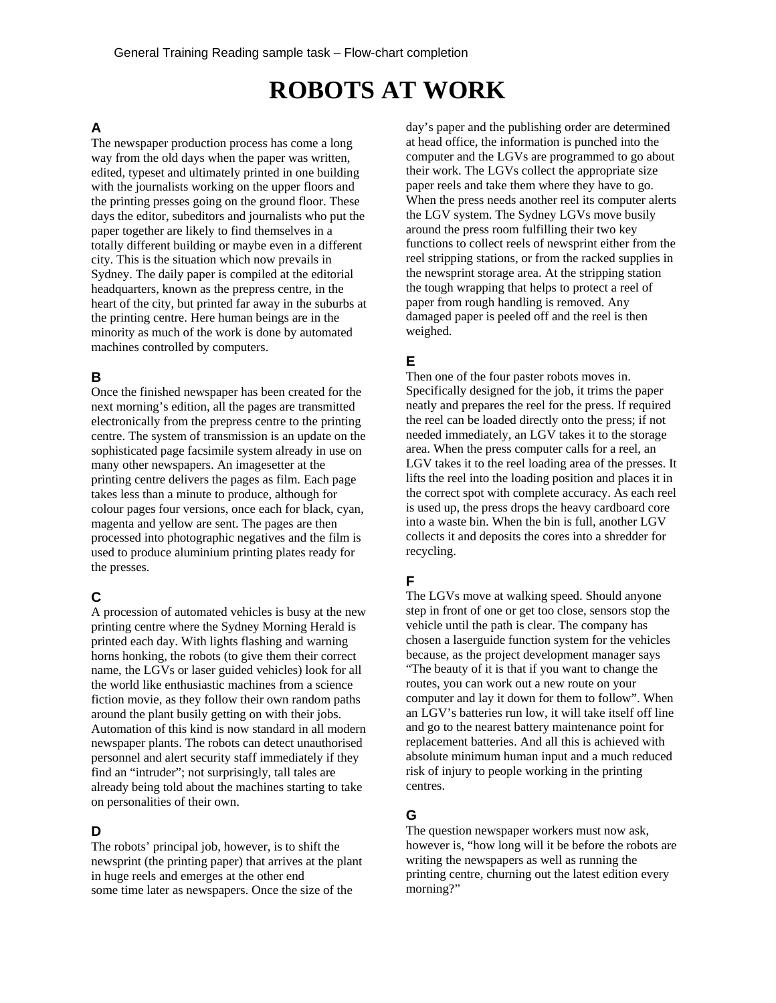# **ROBOTS AT WORK**

# **A**

The newspaper production process has come a long way from the old days when the paper was written, edited, typeset and ultimately printed in one building with the journalists working on the upper floors and the printing presses going on the ground floor. These days the editor, subeditors and journalists who put the paper together are likely to find themselves in a totally different building or maybe even in a different city. This is the situation which now prevails in Sydney. The daily paper is compiled at the editorial headquarters, known as the prepress centre, in the heart of the city, but printed far away in the suburbs at the printing centre. Here human beings are in the minority as much of the work is done by automated machines controlled by computers.

#### **B**

Once the finished newspaper has been created for the next morning's edition, all the pages are transmitted electronically from the prepress centre to the printing centre. The system of transmission is an update on the sophisticated page facsimile system already in use on many other newspapers. An imagesetter at the printing centre delivers the pages as film. Each page takes less than a minute to produce, although for colour pages four versions, once each for black, cyan, magenta and yellow are sent. The pages are then processed into photographic negatives and the film is used to produce aluminium printing plates ready for the presses.

# **C**

A procession of automated vehicles is busy at the new printing centre where the Sydney Morning Herald is printed each day. With lights flashing and warning horns honking, the robots (to give them their correct name, the LGVs or laser guided vehicles) look for all the world like enthusiastic machines from a science fiction movie, as they follow their own random paths around the plant busily getting on with their jobs. Automation of this kind is now standard in all modern newspaper plants. The robots can detect unauthorised personnel and alert security staff immediately if they find an "intruder"; not surprisingly, tall tales are already being told about the machines starting to take on personalities of their own.

# **D**

The robots' principal job, however, is to shift the newsprint (the printing paper) that arrives at the plant in huge reels and emerges at the other end some time later as newspapers. Once the size of the

day's paper and the publishing order are determined at head office, the information is punched into the computer and the LGVs are programmed to go about their work. The LGVs collect the appropriate size paper reels and take them where they have to go. When the press needs another reel its computer alerts the LGV system. The Sydney LGVs move busily around the press room fulfilling their two key functions to collect reels of newsprint either from the reel stripping stations, or from the racked supplies in the newsprint storage area. At the stripping station the tough wrapping that helps to protect a reel of paper from rough handling is removed. Any damaged paper is peeled off and the reel is then weighed.

#### **E**

Then one of the four paster robots moves in. Specifically designed for the job, it trims the paper neatly and prepares the reel for the press. If required the reel can be loaded directly onto the press; if not needed immediately, an LGV takes it to the storage area. When the press computer calls for a reel, an LGV takes it to the reel loading area of the presses. It lifts the reel into the loading position and places it in the correct spot with complete accuracy. As each reel is used up, the press drops the heavy cardboard core into a waste bin. When the bin is full, another LGV collects it and deposits the cores into a shredder for recycling.

# **F**

The LGVs move at walking speed. Should anyone step in front of one or get too close, sensors stop the vehicle until the path is clear. The company has chosen a laserguide function system for the vehicles because, as the project development manager says "The beauty of it is that if you want to change the routes, you can work out a new route on your computer and lay it down for them to follow". When an LGV's batteries run low, it will take itself off line and go to the nearest battery maintenance point for replacement batteries. And all this is achieved with absolute minimum human input and a much reduced risk of injury to people working in the printing centres.

# **G**

The question newspaper workers must now ask, however is, "how long will it be before the robots are writing the newspapers as well as running the printing centre, churning out the latest edition every morning?"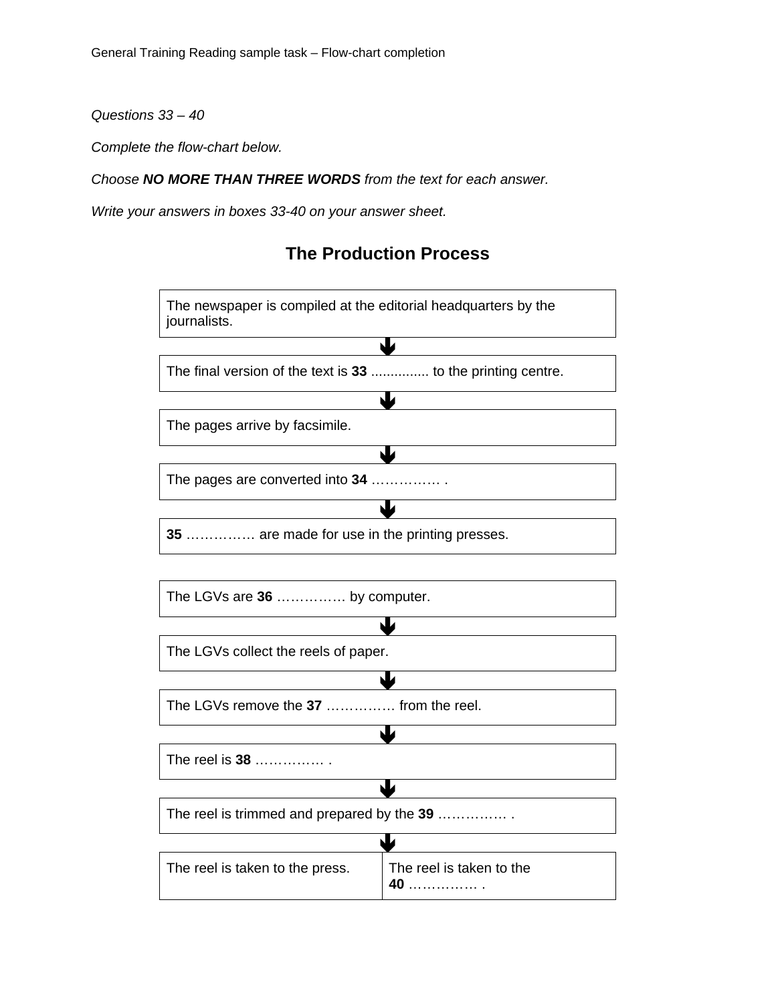*Questions 33 – 40* 

*Complete the flow-chart below.* 

*Choose NO MORE THAN THREE WORDS from the text for each answer.* 

*Write your answers in boxes 33-40 on your answer sheet.* 

# **The Production Process**